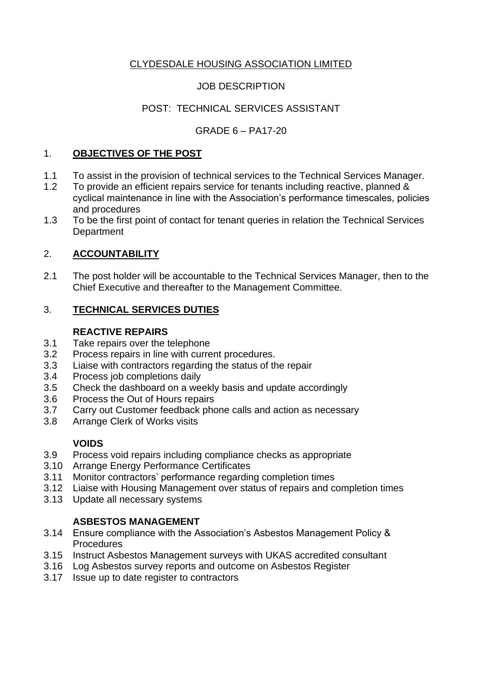# CLYDESDALE HOUSING ASSOCIATION LIMITED

# JOB DESCRIPTION

# POST: TECHNICAL SERVICES ASSISTANT

# GRADE 6 – PA17-20

### 1. **OBJECTIVES OF THE POST**

- 1.1 To assist in the provision of technical services to the Technical Services Manager.
- 1.2 To provide an efficient repairs service for tenants including reactive, planned & cyclical maintenance in line with the Association's performance timescales, policies and procedures
- 1.3 To be the first point of contact for tenant queries in relation the Technical Services **Department**

# 2. **ACCOUNTABILITY**

2.1 The post holder will be accountable to the Technical Services Manager, then to the Chief Executive and thereafter to the Management Committee.

# 3. **TECHNICAL SERVICES DUTIES**

### **REACTIVE REPAIRS**

- 3.1 Take repairs over the telephone
- 3.2 Process repairs in line with current procedures.
- 3.3 Liaise with contractors regarding the status of the repair
- 3.4 Process job completions daily
- 3.5 Check the dashboard on a weekly basis and update accordingly
- 3.6 Process the Out of Hours repairs
- 3.7 Carry out Customer feedback phone calls and action as necessary
- 3.8 Arrange Clerk of Works visits

# **VOIDS**

- 3.9 Process void repairs including compliance checks as appropriate
- 3.10 Arrange Energy Performance Certificates
- 3.11 Monitor contractors' performance regarding completion times
- 3.12 Liaise with Housing Management over status of repairs and completion times
- 3.13 Update all necessary systems

# **ASBESTOS MANAGEMENT**

- 3.14 Ensure compliance with the Association's Asbestos Management Policy & **Procedures**
- 3.15 Instruct Asbestos Management surveys with UKAS accredited consultant
- 3.16 Log Asbestos survey reports and outcome on Asbestos Register
- 3.17 Issue up to date register to contractors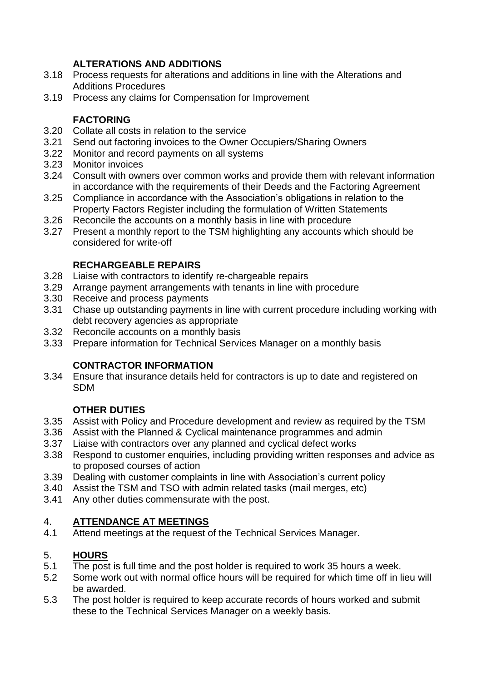## **ALTERATIONS AND ADDITIONS**

- 3.18 Process requests for alterations and additions in line with the Alterations and Additions Procedures
- 3.19 Process any claims for Compensation for Improvement

## **FACTORING**

- 3.20 Collate all costs in relation to the service
- 3.21 Send out factoring invoices to the Owner Occupiers/Sharing Owners
- 3.22 Monitor and record payments on all systems
- 3.23 Monitor invoices
- 3.24 Consult with owners over common works and provide them with relevant information in accordance with the requirements of their Deeds and the Factoring Agreement
- 3.25 Compliance in accordance with the Association's obligations in relation to the Property Factors Register including the formulation of Written Statements
- 3.26 Reconcile the accounts on a monthly basis in line with procedure
- 3.27 Present a monthly report to the TSM highlighting any accounts which should be considered for write-off

## **RECHARGEABLE REPAIRS**

- 3.28 Liaise with contractors to identify re-chargeable repairs
- 3.29 Arrange payment arrangements with tenants in line with procedure
- 3.30 Receive and process payments
- 3.31 Chase up outstanding payments in line with current procedure including working with debt recovery agencies as appropriate
- 3.32 Reconcile accounts on a monthly basis
- 3.33 Prepare information for Technical Services Manager on a monthly basis

# **CONTRACTOR INFORMATION**

3.34 Ensure that insurance details held for contractors is up to date and registered on SDM

### **OTHER DUTIES**

- 3.35 Assist with Policy and Procedure development and review as required by the TSM
- 3.36 Assist with the Planned & Cyclical maintenance programmes and admin
- 3.37 Liaise with contractors over any planned and cyclical defect works
- 3.38 Respond to customer enquiries, including providing written responses and advice as to proposed courses of action
- 3.39 Dealing with customer complaints in line with Association's current policy
- 3.40 Assist the TSM and TSO with admin related tasks (mail merges, etc)
- 3.41 Any other duties commensurate with the post.

### 4. **ATTENDANCE AT MEETINGS**

4.1 Attend meetings at the request of the Technical Services Manager.

### 5. **HOURS**

- 5.1 The post is full time and the post holder is required to work 35 hours a week.
- 5.2 Some work out with normal office hours will be required for which time off in lieu will be awarded.
- 5.3 The post holder is required to keep accurate records of hours worked and submit these to the Technical Services Manager on a weekly basis.